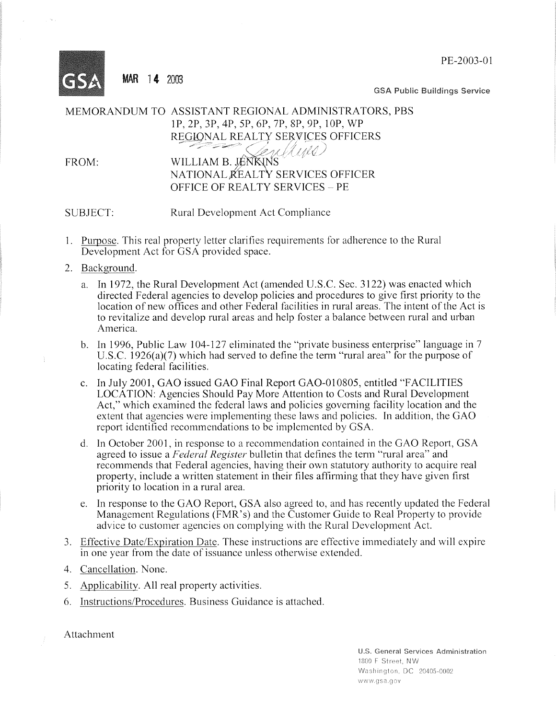PE-2003-01



**MAR 14 2003** 

**GSA Public Buildings Service** 

MEMORANDUM TO ASSISTANT REGIONAL ADMINISTRATORS, PBS 1P, 2P, 3P, 4P, 5P, 6P, 7P, 8P, 9P, 10P, WP REGIONAL REALTY SERVICES OFFICERS Senttyn

FROM:

## WILLIAM B. JENKINS NATIONAL REALTY SERVICES OFFICER OFFICE OF REALTY SERVICES - PE

Rural Development Act Compliance **SUBJECT:** 

- 1. Purpose. This real property letter clarifies requirements for adherence to the Rural Development Act for GSA provided space.
- 2. Background.
	- a. In 1972, the Rural Development Act (amended U.S.C. Sec. 3122) was enacted which directed Federal agencies to develop policies and procedures to give first priority to the location of new offices and other Federal facilities in rural areas. The intent of the Act is to revitalize and develop rural areas and help foster a balance between rural and urban America.
	- b. In 1996, Public Law 104-127 eliminated the "private business enterprise" language in 7 U.S.C.  $1926(a)(7)$  which had served to define the term "rural area" for the purpose of locating federal facilities.
	- c. In July 2001, GAO issued GAO Final Report GAO-010805, entitled "FACILITIES" LOCATION: Agencies Should Pay More Attention to Costs and Rural Development Act," which examined the federal laws and policies governing facility location and the extent that agencies were implementing these laws and policies. In addition, the GAO report identified recommendations to be implemented by GSA.
	- d. In October 2001, in response to a recommendation contained in the GAO Report, GSA agreed to issue a Federal Register bulletin that defines the term "rural area" and recommends that Federal agencies, having their own statutory authority to acquire real property, include a written statement in their files affirming that they have given first priority to location in a rural area.
	- e. In response to the GAO Report, GSA also agreed to, and has recently updated the Federal Management Regulations (FMR's) and the Customer Guide to Real Property to provide advice to customer agencies on complying with the Rural Development Act.
- 3. Effective Date/Expiration Date. These instructions are effective immediately and will expire in one year from the date of issuance unless otherwise extended.
- 4. Cancellation. None.
- 5. Applicability. All real property activities.
- 6. Instructions/Procedures. Business Guidance is attached.

Attachment